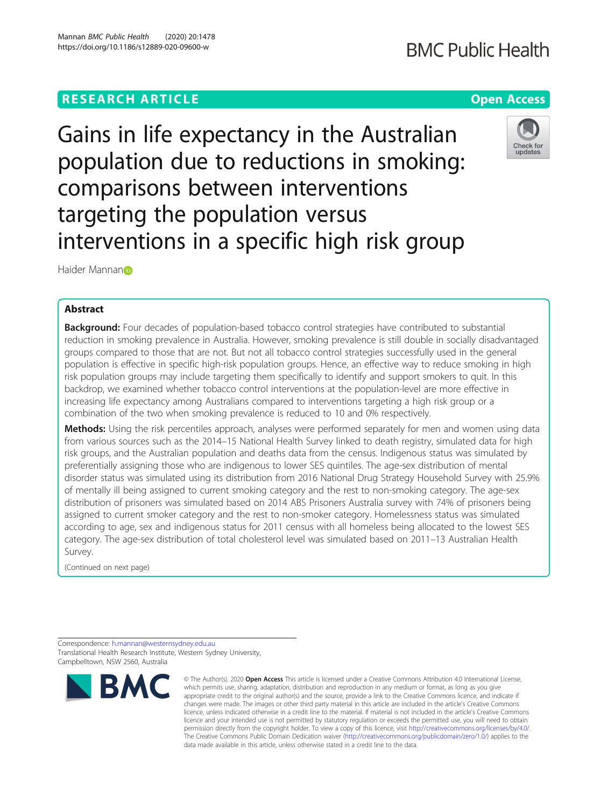# **RESEARCH ARTICLE Example 2014 12:30 The Contract of Contract ACCESS**

Gains in life expectancy in the Australian population due to reductions in smoking: comparisons between interventions targeting the population versus interventions in a specific high risk group

Haider Mannan<sub>D</sub>

# Abstract

**Background:** Four decades of population-based tobacco control strategies have contributed to substantial reduction in smoking prevalence in Australia. However, smoking prevalence is still double in socially disadvantaged groups compared to those that are not. But not all tobacco control strategies successfully used in the general population is effective in specific high-risk population groups. Hence, an effective way to reduce smoking in high risk population groups may include targeting them specifically to identify and support smokers to quit. In this backdrop, we examined whether tobacco control interventions at the population-level are more effective in increasing life expectancy among Australians compared to interventions targeting a high risk group or a combination of the two when smoking prevalence is reduced to 10 and 0% respectively.

Methods: Using the risk percentiles approach, analyses were performed separately for men and women using data from various sources such as the 2014–15 National Health Survey linked to death registry, simulated data for high risk groups, and the Australian population and deaths data from the census. Indigenous status was simulated by preferentially assigning those who are indigenous to lower SES quintiles. The age-sex distribution of mental disorder status was simulated using its distribution from 2016 National Drug Strategy Household Survey with 25.9% of mentally ill being assigned to current smoking category and the rest to non-smoking category. The age-sex distribution of prisoners was simulated based on 2014 ABS Prisoners Australia survey with 74% of prisoners being assigned to current smoker category and the rest to non-smoker category. Homelessness status was simulated according to age, sex and indigenous status for 2011 census with all homeless being allocated to the lowest SES category. The age-sex distribution of total cholesterol level was simulated based on 2011–13 Australian Health Survey.

(Continued on next page)

Correspondence: [h.mannan@westernsydney.edu.au](mailto:h.mannan@westernsydney.edu.au) Translational Health Research Institute, Western Sydney University, Campbelltown, NSW 2560, Australia





<sup>©</sup> The Author(s), 2020 **Open Access** This article is licensed under a Creative Commons Attribution 4.0 International License, which permits use, sharing, adaptation, distribution and reproduction in any medium or format, as long as you give appropriate credit to the original author(s) and the source, provide a link to the Creative Commons licence, and indicate if changes were made. The images or other third party material in this article are included in the article's Creative Commons licence, unless indicated otherwise in a credit line to the material. If material is not included in the article's Creative Commons licence and your intended use is not permitted by statutory regulation or exceeds the permitted use, you will need to obtain permission directly from the copyright holder. To view a copy of this licence, visit [http://creativecommons.org/licenses/by/4.0/.](http://creativecommons.org/licenses/by/4.0/) The Creative Commons Public Domain Dedication waiver [\(http://creativecommons.org/publicdomain/zero/1.0/](http://creativecommons.org/publicdomain/zero/1.0/)) applies to the data made available in this article, unless otherwise stated in a credit line to the data.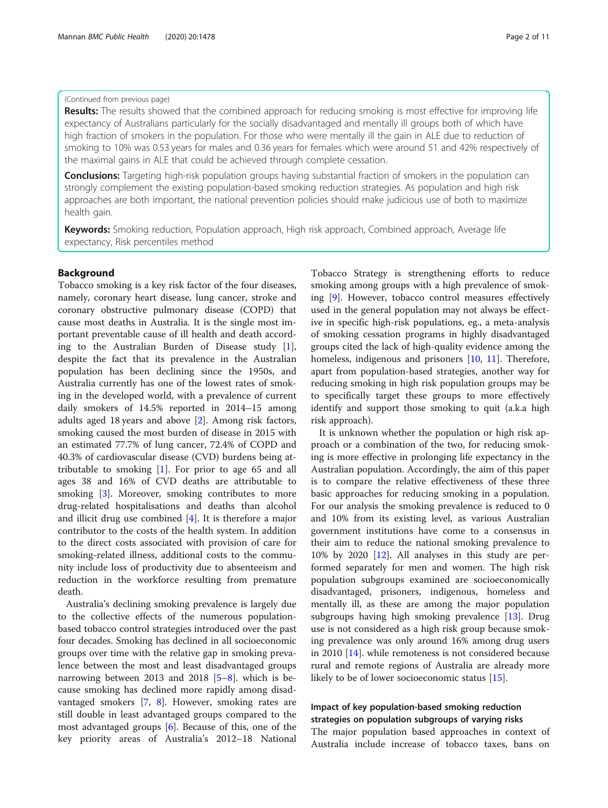### (Continued from previous page)

Results: The results showed that the combined approach for reducing smoking is most effective for improving life expectancy of Australians particularly for the socially disadvantaged and mentally ill groups both of which have high fraction of smokers in the population. For those who were mentally ill the gain in ALE due to reduction of smoking to 10% was 0.53 years for males and 0.36 years for females which were around 51 and 42% respectively of the maximal gains in ALE that could be achieved through complete cessation.

**Conclusions:** Targeting high-risk population groups having substantial fraction of smokers in the population can strongly complement the existing population-based smoking reduction strategies. As population and high risk approaches are both important, the national prevention policies should make judicious use of both to maximize health gain.

Keywords: Smoking reduction, Population approach, High risk approach, Combined approach, Average life expectancy, Risk percentiles method

# Background

Tobacco smoking is a key risk factor of the four diseases, namely, coronary heart disease, lung cancer, stroke and coronary obstructive pulmonary disease (COPD) that cause most deaths in Australia. It is the single most important preventable cause of ill health and death according to the Australian Burden of Disease study  $[1]$  $[1]$ , despite the fact that its prevalence in the Australian population has been declining since the 1950s, and Australia currently has one of the lowest rates of smoking in the developed world, with a prevalence of current daily smokers of 14.5% reported in 2014–15 among adults aged 18 years and above [[2\]](#page-9-0). Among risk factors, smoking caused the most burden of disease in 2015 with an estimated 77.7% of lung cancer, 72.4% of COPD and 40.3% of cardiovascular disease (CVD) burdens being attributable to smoking  $[1]$  $[1]$ . For prior to age 65 and all ages 38 and 16% of CVD deaths are attributable to smoking [\[3\]](#page-9-0). Moreover, smoking contributes to more drug-related hospitalisations and deaths than alcohol and illicit drug use combined [\[4](#page-9-0)]. It is therefore a major contributor to the costs of the health system. In addition to the direct costs associated with provision of care for smoking-related illness, additional costs to the community include loss of productivity due to absenteeism and reduction in the workforce resulting from premature death.

Australia's declining smoking prevalence is largely due to the collective effects of the numerous populationbased tobacco control strategies introduced over the past four decades. Smoking has declined in all socioeconomic groups over time with the relative gap in smoking prevalence between the most and least disadvantaged groups narrowing between 2013 and 2018 [\[5](#page-9-0)–[8\]](#page-9-0). which is because smoking has declined more rapidly among disadvantaged smokers [[7,](#page-9-0) [8](#page-9-0)]. However, smoking rates are still double in least advantaged groups compared to the most advantaged groups [[6\]](#page-9-0). Because of this, one of the key priority areas of Australia's 2012–18 National

Tobacco Strategy is strengthening efforts to reduce smoking among groups with a high prevalence of smoking [\[9](#page-9-0)]. However, tobacco control measures effectively used in the general population may not always be effective in specific high-risk populations, eg., a meta-analysis of smoking cessation programs in highly disadvantaged groups cited the lack of high-quality evidence among the homeless, indigenous and prisoners [[10,](#page-9-0) [11\]](#page-9-0). Therefore, apart from population-based strategies, another way for reducing smoking in high risk population groups may be to specifically target these groups to more effectively identify and support those smoking to quit (a.k.a high risk approach).

It is unknown whether the population or high risk approach or a combination of the two, for reducing smoking is more effective in prolonging life expectancy in the Australian population. Accordingly, the aim of this paper is to compare the relative effectiveness of these three basic approaches for reducing smoking in a population. For our analysis the smoking prevalence is reduced to 0 and 10% from its existing level, as various Australian government institutions have come to a consensus in their aim to reduce the national smoking prevalence to 10% by 2020 [[12\]](#page-9-0). All analyses in this study are performed separately for men and women. The high risk population subgroups examined are socioeconomically disadvantaged, prisoners, indigenous, homeless and mentally ill, as these are among the major population subgroups having high smoking prevalence [[13](#page-9-0)]. Drug use is not considered as a high risk group because smoking prevalence was only around 16% among drug users in 2010 [\[14](#page-9-0)]. while remoteness is not considered because rural and remote regions of Australia are already more likely to be of lower socioeconomic status [\[15](#page-9-0)].

# Impact of key population-based smoking reduction strategies on population subgroups of varying risks

The major population based approaches in context of Australia include increase of tobacco taxes, bans on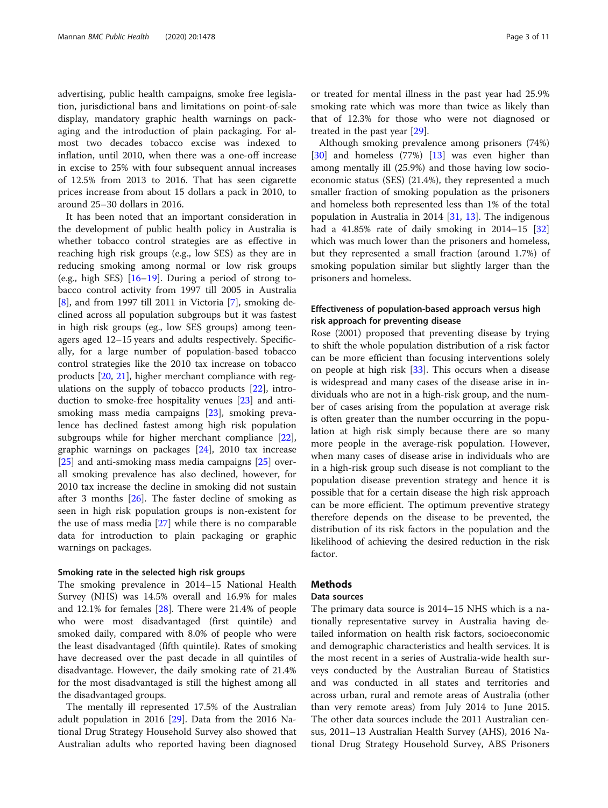advertising, public health campaigns, smoke free legislation, jurisdictional bans and limitations on point-of-sale display, mandatory graphic health warnings on packaging and the introduction of plain packaging. For almost two decades tobacco excise was indexed to inflation, until 2010, when there was a one-off increase in excise to 25% with four subsequent annual increases of 12.5% from 2013 to 2016. That has seen cigarette prices increase from about 15 dollars a pack in 2010, to around 25–30 dollars in 2016.

It has been noted that an important consideration in the development of public health policy in Australia is whether tobacco control strategies are as effective in reaching high risk groups (e.g., low SES) as they are in reducing smoking among normal or low risk groups (e.g., high SES) [\[16](#page-9-0)–[19\]](#page-9-0). During a period of strong tobacco control activity from 1997 till 2005 in Australia [[8\]](#page-9-0), and from 1997 till 2011 in Victoria [[7\]](#page-9-0), smoking declined across all population subgroups but it was fastest in high risk groups (eg., low SES groups) among teenagers aged 12–15 years and adults respectively. Specifically, for a large number of population-based tobacco control strategies like the 2010 tax increase on tobacco products [[20,](#page-9-0) [21\]](#page-9-0), higher merchant compliance with regulations on the supply of tobacco products [[22](#page-9-0)], introduction to smoke-free hospitality venues [\[23](#page-9-0)] and antismoking mass media campaigns [\[23\]](#page-9-0), smoking prevalence has declined fastest among high risk population subgroups while for higher merchant compliance [\[22](#page-9-0)], graphic warnings on packages [[24](#page-9-0)], 2010 tax increase [[25\]](#page-9-0) and anti-smoking mass media campaigns [[25\]](#page-9-0) overall smoking prevalence has also declined, however, for 2010 tax increase the decline in smoking did not sustain after 3 months [[26](#page-9-0)]. The faster decline of smoking as seen in high risk population groups is non-existent for the use of mass media [[27\]](#page-9-0) while there is no comparable data for introduction to plain packaging or graphic warnings on packages.

### Smoking rate in the selected high risk groups

The smoking prevalence in 2014–15 National Health Survey (NHS) was 14.5% overall and 16.9% for males and 12.1% for females [\[28](#page-9-0)]. There were 21.4% of people who were most disadvantaged (first quintile) and smoked daily, compared with 8.0% of people who were the least disadvantaged (fifth quintile). Rates of smoking have decreased over the past decade in all quintiles of disadvantage. However, the daily smoking rate of 21.4% for the most disadvantaged is still the highest among all the disadvantaged groups.

The mentally ill represented 17.5% of the Australian adult population in 2016 [\[29](#page-9-0)]. Data from the 2016 National Drug Strategy Household Survey also showed that Australian adults who reported having been diagnosed or treated for mental illness in the past year had 25.9% smoking rate which was more than twice as likely than that of 12.3% for those who were not diagnosed or treated in the past year [\[29](#page-9-0)].

Although smoking prevalence among prisoners (74%) [[30\]](#page-10-0) and homeless (77%) [[13](#page-9-0)] was even higher than among mentally ill (25.9%) and those having low socioeconomic status (SES) (21.4%), they represented a much smaller fraction of smoking population as the prisoners and homeless both represented less than 1% of the total population in Australia in 2014 [[31,](#page-10-0) [13\]](#page-9-0). The indigenous had a  $41.85\%$  rate of daily smoking in  $2014-15$  [[32](#page-10-0)] which was much lower than the prisoners and homeless, but they represented a small fraction (around 1.7%) of smoking population similar but slightly larger than the prisoners and homeless.

# Effectiveness of population-based approach versus high risk approach for preventing disease

Rose (2001) proposed that preventing disease by trying to shift the whole population distribution of a risk factor can be more efficient than focusing interventions solely on people at high risk [[33](#page-10-0)]. This occurs when a disease is widespread and many cases of the disease arise in individuals who are not in a high-risk group, and the number of cases arising from the population at average risk is often greater than the number occurring in the population at high risk simply because there are so many more people in the average-risk population. However, when many cases of disease arise in individuals who are in a high-risk group such disease is not compliant to the population disease prevention strategy and hence it is possible that for a certain disease the high risk approach can be more efficient. The optimum preventive strategy therefore depends on the disease to be prevented, the distribution of its risk factors in the population and the likelihood of achieving the desired reduction in the risk factor.

# **Methods**

#### Data sources

The primary data source is 2014–15 NHS which is a nationally representative survey in Australia having detailed information on health risk factors, socioeconomic and demographic characteristics and health services. It is the most recent in a series of Australia-wide health surveys conducted by the Australian Bureau of Statistics and was conducted in all states and territories and across urban, rural and remote areas of Australia (other than very remote areas) from July 2014 to June 2015. The other data sources include the 2011 Australian census, 2011–13 Australian Health Survey (AHS), 2016 National Drug Strategy Household Survey, ABS Prisoners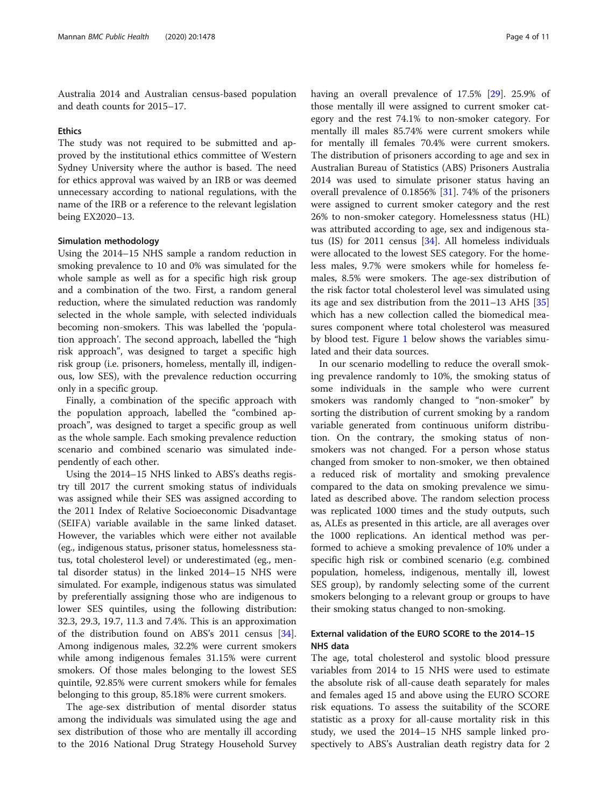Australia 2014 and Australian census-based population and death counts for 2015–17.

#### **Ethics**

The study was not required to be submitted and approved by the institutional ethics committee of Western Sydney University where the author is based. The need for ethics approval was waived by an IRB or was deemed unnecessary according to national regulations, with the name of the IRB or a reference to the relevant legislation being EX2020–13.

#### Simulation methodology

Using the 2014–15 NHS sample a random reduction in smoking prevalence to 10 and 0% was simulated for the whole sample as well as for a specific high risk group and a combination of the two. First, a random general reduction, where the simulated reduction was randomly selected in the whole sample, with selected individuals becoming non-smokers. This was labelled the 'population approach'. The second approach, labelled the "high risk approach", was designed to target a specific high risk group (i.e. prisoners, homeless, mentally ill, indigenous, low SES), with the prevalence reduction occurring only in a specific group.

Finally, a combination of the specific approach with the population approach, labelled the "combined approach", was designed to target a specific group as well as the whole sample. Each smoking prevalence reduction scenario and combined scenario was simulated independently of each other.

Using the 2014–15 NHS linked to ABS's deaths registry till 2017 the current smoking status of individuals was assigned while their SES was assigned according to the 2011 Index of Relative Socioeconomic Disadvantage (SEIFA) variable available in the same linked dataset. However, the variables which were either not available (eg., indigenous status, prisoner status, homelessness status, total cholesterol level) or underestimated (eg., mental disorder status) in the linked 2014–15 NHS were simulated. For example, indigenous status was simulated by preferentially assigning those who are indigenous to lower SES quintiles, using the following distribution: 32.3, 29.3, 19.7, 11.3 and 7.4%. This is an approximation of the distribution found on ABS's 2011 census [\[34](#page-10-0)]. Among indigenous males, 32.2% were current smokers while among indigenous females 31.15% were current smokers. Of those males belonging to the lowest SES quintile, 92.85% were current smokers while for females belonging to this group, 85.18% were current smokers.

The age-sex distribution of mental disorder status among the individuals was simulated using the age and sex distribution of those who are mentally ill according to the 2016 National Drug Strategy Household Survey having an overall prevalence of 17.5% [[29](#page-9-0)]. 25.9% of those mentally ill were assigned to current smoker category and the rest 74.1% to non-smoker category. For mentally ill males 85.74% were current smokers while for mentally ill females 70.4% were current smokers. The distribution of prisoners according to age and sex in Australian Bureau of Statistics (ABS) Prisoners Australia 2014 was used to simulate prisoner status having an overall prevalence of 0.1856% [\[31\]](#page-10-0). 74% of the prisoners were assigned to current smoker category and the rest 26% to non-smoker category. Homelessness status (HL) was attributed according to age, sex and indigenous status (IS) for 2011 census [\[34\]](#page-10-0). All homeless individuals were allocated to the lowest SES category. For the homeless males, 9.7% were smokers while for homeless females, 8.5% were smokers. The age-sex distribution of the risk factor total cholesterol level was simulated using its age and sex distribution from the 2011–13 AHS [[35](#page-10-0)] which has a new collection called the biomedical measures component where total cholesterol was measured by blood test. Figure [1](#page-4-0) below shows the variables simulated and their data sources.

In our scenario modelling to reduce the overall smoking prevalence randomly to 10%, the smoking status of some individuals in the sample who were current smokers was randomly changed to "non-smoker" by sorting the distribution of current smoking by a random variable generated from continuous uniform distribution. On the contrary, the smoking status of nonsmokers was not changed. For a person whose status changed from smoker to non-smoker, we then obtained a reduced risk of mortality and smoking prevalence compared to the data on smoking prevalence we simulated as described above. The random selection process was replicated 1000 times and the study outputs, such as, ALEs as presented in this article, are all averages over the 1000 replications. An identical method was performed to achieve a smoking prevalence of 10% under a specific high risk or combined scenario (e.g. combined population, homeless, indigenous, mentally ill, lowest SES group), by randomly selecting some of the current smokers belonging to a relevant group or groups to have their smoking status changed to non-smoking.

# External validation of the EURO SCORE to the 2014–15 NHS data

The age, total cholesterol and systolic blood pressure variables from 2014 to 15 NHS were used to estimate the absolute risk of all-cause death separately for males and females aged 15 and above using the EURO SCORE risk equations. To assess the suitability of the SCORE statistic as a proxy for all-cause mortality risk in this study, we used the 2014–15 NHS sample linked prospectively to ABS's Australian death registry data for 2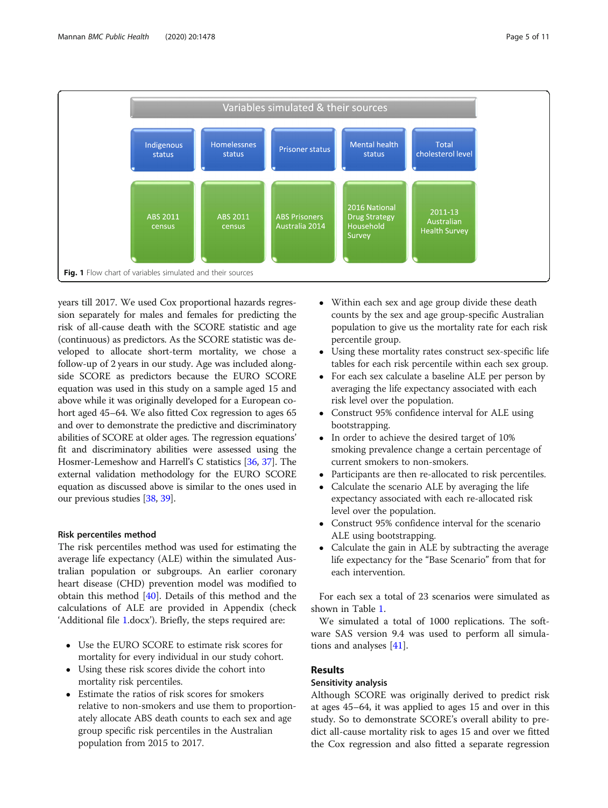<span id="page-4-0"></span>

years till 2017. We used Cox proportional hazards regression separately for males and females for predicting the risk of all-cause death with the SCORE statistic and age (continuous) as predictors. As the SCORE statistic was developed to allocate short-term mortality, we chose a follow-up of 2 years in our study. Age was included alongside SCORE as predictors because the EURO SCORE equation was used in this study on a sample aged 15 and above while it was originally developed for a European cohort aged 45–64. We also fitted Cox regression to ages 65 and over to demonstrate the predictive and discriminatory abilities of SCORE at older ages. The regression equations' fit and discriminatory abilities were assessed using the Hosmer-Lemeshow and Harrell's C statistics [\[36,](#page-10-0) [37](#page-10-0)]. The external validation methodology for the EURO SCORE equation as discussed above is similar to the ones used in our previous studies [\[38,](#page-10-0) [39\]](#page-10-0).

## Risk percentiles method

The risk percentiles method was used for estimating the average life expectancy (ALE) within the simulated Australian population or subgroups. An earlier coronary heart disease (CHD) prevention model was modified to obtain this method [[40\]](#page-10-0). Details of this method and the calculations of ALE are provided in Appendix (check 'Additional file [1.](#page-8-0)docx'). Briefly, the steps required are:

- Use the EURO SCORE to estimate risk scores for mortality for every individual in our study cohort.
- Using these risk scores divide the cohort into mortality risk percentiles.
- Estimate the ratios of risk scores for smokers relative to non-smokers and use them to proportionately allocate ABS death counts to each sex and age group specific risk percentiles in the Australian population from 2015 to 2017.
- Within each sex and age group divide these death counts by the sex and age group-specific Australian population to give us the mortality rate for each risk percentile group.
- Using these mortality rates construct sex-specific life tables for each risk percentile within each sex group.
- For each sex calculate a baseline ALE per person by averaging the life expectancy associated with each risk level over the population.
- Construct 95% confidence interval for ALE using bootstrapping.
- In order to achieve the desired target of 10% smoking prevalence change a certain percentage of current smokers to non-smokers.
- Participants are then re-allocated to risk percentiles.
- Calculate the scenario ALE by averaging the life expectancy associated with each re-allocated risk level over the population.
- Construct 95% confidence interval for the scenario ALE using bootstrapping.
- Calculate the gain in ALE by subtracting the average life expectancy for the "Base Scenario" from that for each intervention.

For each sex a total of 23 scenarios were simulated as shown in Table [1.](#page-5-0)

We simulated a total of 1000 replications. The software SAS version 9.4 was used to perform all simulations and analyses [[41\]](#page-10-0).

# Results

# Sensitivity analysis

Although SCORE was originally derived to predict risk at ages 45–64, it was applied to ages 15 and over in this study. So to demonstrate SCORE's overall ability to predict all-cause mortality risk to ages 15 and over we fitted the Cox regression and also fitted a separate regression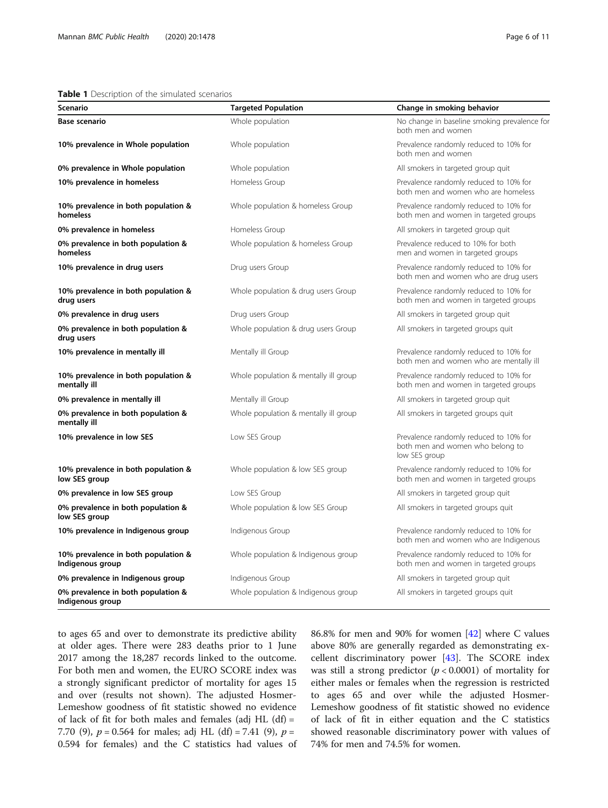### <span id="page-5-0"></span>Table 1 Description of the simulated scenarios

| Scenario                                                | <b>Targeted Population</b>            | Change in smoking behavior                                                                  |
|---------------------------------------------------------|---------------------------------------|---------------------------------------------------------------------------------------------|
| <b>Base scenario</b>                                    | Whole population                      | No change in baseline smoking prevalence for<br>both men and women                          |
| 10% prevalence in Whole population                      | Whole population                      | Prevalence randomly reduced to 10% for<br>both men and women                                |
| 0% prevalence in Whole population                       | Whole population                      | All smokers in targeted group quit                                                          |
| 10% prevalence in homeless                              | Homeless Group                        | Prevalence randomly reduced to 10% for<br>both men and women who are homeless               |
| 10% prevalence in both population &<br>homeless         | Whole population & homeless Group     | Prevalence randomly reduced to 10% for<br>both men and women in targeted groups             |
| 0% prevalence in homeless                               | Homeless Group                        | All smokers in targeted group quit                                                          |
| 0% prevalence in both population &<br>homeless          | Whole population & homeless Group     | Prevalence reduced to 10% for both<br>men and women in targeted groups                      |
| 10% prevalence in drug users                            | Drug users Group                      | Prevalence randomly reduced to 10% for<br>both men and women who are drug users             |
| 10% prevalence in both population &<br>drug users       | Whole population & drug users Group   | Prevalence randomly reduced to 10% for<br>both men and women in targeted groups             |
| 0% prevalence in drug users                             | Drug users Group                      | All smokers in targeted group quit                                                          |
| 0% prevalence in both population &<br>drug users        | Whole population & drug users Group   | All smokers in targeted groups quit                                                         |
| 10% prevalence in mentally ill                          | Mentally ill Group                    | Prevalence randomly reduced to 10% for<br>both men and women who are mentally ill           |
| 10% prevalence in both population &<br>mentally ill     | Whole population & mentally ill group | Prevalence randomly reduced to 10% for<br>both men and women in targeted groups             |
| 0% prevalence in mentally ill                           | Mentally ill Group                    | All smokers in targeted group quit                                                          |
| 0% prevalence in both population &<br>mentally ill      | Whole population & mentally ill group | All smokers in targeted groups quit                                                         |
| 10% prevalence in low SES                               | Low SES Group                         | Prevalence randomly reduced to 10% for<br>both men and women who belong to<br>low SES group |
| 10% prevalence in both population &<br>low SES group    | Whole population & low SES group      | Prevalence randomly reduced to 10% for<br>both men and women in targeted groups             |
| 0% prevalence in low SES group                          | Low SES Group                         | All smokers in targeted group quit                                                          |
| 0% prevalence in both population &<br>low SES group     | Whole population & low SES Group      | All smokers in targeted groups quit                                                         |
| 10% prevalence in Indigenous group                      | Indigenous Group                      | Prevalence randomly reduced to 10% for<br>both men and women who are Indigenous             |
| 10% prevalence in both population &<br>Indigenous group | Whole population & Indigenous group   | Prevalence randomly reduced to 10% for<br>both men and women in targeted groups             |
| 0% prevalence in Indigenous group                       | Indigenous Group                      | All smokers in targeted group quit                                                          |
| 0% prevalence in both population &<br>Indigenous group  | Whole population & Indigenous group   | All smokers in targeted groups quit                                                         |

to ages 65 and over to demonstrate its predictive ability at older ages. There were 283 deaths prior to 1 June 2017 among the 18,287 records linked to the outcome. For both men and women, the EURO SCORE index was a strongly significant predictor of mortality for ages 15 and over (results not shown). The adjusted Hosmer-Lemeshow goodness of fit statistic showed no evidence of lack of fit for both males and females (adj HL  $(df)$  = 7.70 (9),  $p = 0.564$  for males; adj HL (df) = 7.41 (9),  $p =$ 0.594 for females) and the C statistics had values of 86.8% for men and 90% for women [[42\]](#page-10-0) where C values above 80% are generally regarded as demonstrating excellent discriminatory power [[43](#page-10-0)]. The SCORE index was still a strong predictor  $(p < 0.0001)$  of mortality for either males or females when the regression is restricted to ages 65 and over while the adjusted Hosmer-Lemeshow goodness of fit statistic showed no evidence of lack of fit in either equation and the C statistics showed reasonable discriminatory power with values of 74% for men and 74.5% for women.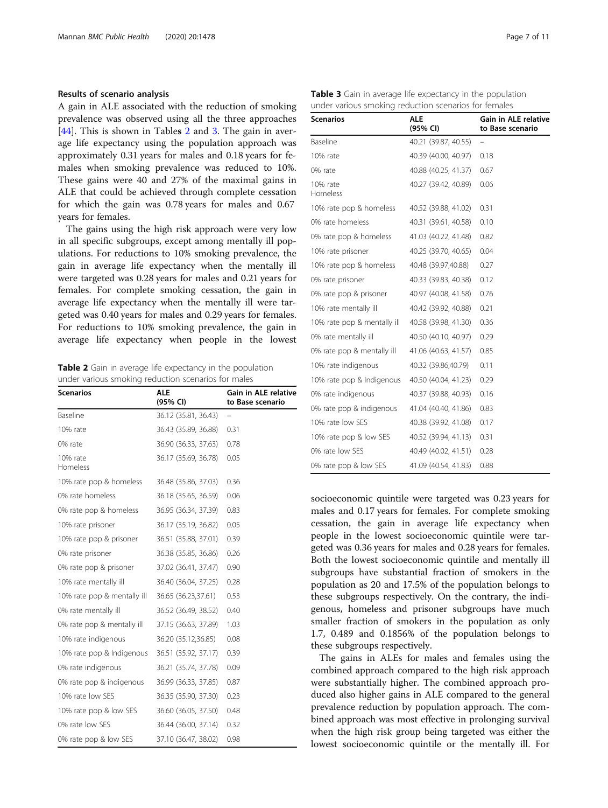### Results of scenario analysis

A gain in ALE associated with the reduction of smoking prevalence was observed using all the three approaches [[44\]](#page-10-0). This is shown in Tables 2 and 3. The gain in average life expectancy using the population approach was approximately 0.31 years for males and 0.18 years for females when smoking prevalence was reduced to 10%. These gains were 40 and 27% of the maximal gains in ALE that could be achieved through complete cessation for which the gain was 0.78 years for males and 0.67 years for females.

The gains using the high risk approach were very low in all specific subgroups, except among mentally ill populations. For reductions to 10% smoking prevalence, the gain in average life expectancy when the mentally ill were targeted was 0.28 years for males and 0.21 years for females. For complete smoking cessation, the gain in average life expectancy when the mentally ill were targeted was 0.40 years for males and 0.29 years for females. For reductions to 10% smoking prevalence, the gain in average life expectancy when people in the lowest

Table 2 Gain in average life expectancy in the population under various smoking reduction scenarios for males

| <b>Scenarios</b>            | ALE<br>(95% CI)      | Gain in ALE relative<br>to Base scenario |
|-----------------------------|----------------------|------------------------------------------|
| Baseline                    | 36.12 (35.81, 36.43) | -                                        |
| 10% rate                    | 36.43 (35.89, 36.88) | 0.31                                     |
| 0% rate                     | 36.90 (36.33, 37.63) | 0.78                                     |
| 10% rate<br>Homeless        | 36.17 (35.69, 36.78) | 0.05                                     |
| 10% rate pop & homeless     | 36.48 (35.86, 37.03) | 0.36                                     |
| 0% rate homeless            | 36.18 (35.65, 36.59) | 0.06                                     |
| 0% rate pop & homeless      | 36.95 (36.34, 37.39) | 0.83                                     |
| 10% rate prisoner           | 36.17 (35.19, 36.82) | 0.05                                     |
| 10% rate pop & prisoner     | 36.51 (35.88, 37.01) | 0.39                                     |
| 0% rate prisoner            | 36.38 (35.85, 36.86) | 0.26                                     |
| 0% rate pop & prisoner      | 37.02 (36.41, 37.47) | 0.90                                     |
| 10% rate mentally ill       | 36.40 (36.04, 37.25) | 0.28                                     |
| 10% rate pop & mentally ill | 36.65 (36.23,37.61)  | 0.53                                     |
| 0% rate mentally ill        | 36.52 (36.49, 38.52) | 0.40                                     |
| 0% rate pop & mentally ill  | 37.15 (36.63, 37.89) | 1.03                                     |
| 10% rate indigenous         | 36.20 (35.12,36.85)  | 0.08                                     |
| 10% rate pop & Indigenous   | 36.51 (35.92, 37.17) | 0.39                                     |
| 0% rate indigenous          | 36.21 (35.74, 37.78) | 0.09                                     |
| 0% rate pop & indigenous    | 36.99 (36.33, 37.85) | 0.87                                     |
| 10% rate low SES            | 36.35 (35.90, 37.30) | 0.23                                     |
| 10% rate pop & low SES      | 36.60 (36.05, 37.50) | 0.48                                     |
| 0% rate low SES             | 36.44 (36.00, 37.14) | 0.32                                     |
| 0% rate pop & low SES       | 37.10 (36.47, 38.02) | 0.98                                     |

| Page 7 of 11 |  |  |  |  |
|--------------|--|--|--|--|
|--------------|--|--|--|--|

|  |                                                       |  | Table 3 Gain in average life expectancy in the population |
|--|-------------------------------------------------------|--|-----------------------------------------------------------|
|  | under various smoking reduction scenarios for females |  |                                                           |

| Scenarios                   | <b>ALE</b><br>(95% CI) | Gain in ALE relative<br>to Base scenario |
|-----------------------------|------------------------|------------------------------------------|
| Baseline                    | 40.21 (39.87, 40.55)   |                                          |
| 10% rate                    | 40.39 (40.00, 40.97)   | 0.18                                     |
| 0% rate                     | 40.88 (40.25, 41.37)   | 0.67                                     |
| 10% rate<br>Homeless        | 40.27 (39.42, 40.89)   | 0.06                                     |
| 10% rate pop & homeless     | 40.52 (39.88, 41.02)   | 0.31                                     |
| 0% rate homeless            | 40.31 (39.61, 40.58)   | 0.10                                     |
| 0% rate pop & homeless      | 41.03 (40.22, 41.48)   | 0.82                                     |
| 10% rate prisoner           | 40.25 (39.70, 40.65)   | 0.04                                     |
| 10% rate pop & homeless     | 40.48 (39.97,40.88)    | 0.27                                     |
| 0% rate prisoner            | 40.33 (39.83, 40.38)   | 0.12                                     |
| 0% rate pop & prisoner      | 40.97 (40.08, 41.58)   | 0.76                                     |
| 10% rate mentally ill       | 40.42 (39.92, 40.88)   | 0.21                                     |
| 10% rate pop & mentally ill | 40.58 (39.98, 41.30)   | 0.36                                     |
| 0% rate mentally ill        | 40.50 (40.10, 40.97)   | 0.29                                     |
| 0% rate pop & mentally ill  | 41.06 (40.63, 41.57)   | 0.85                                     |
| 10% rate indigenous         | 40.32 (39.86,40.79)    | 0.11                                     |
| 10% rate pop & Indigenous   | 40.50 (40.04, 41.23)   | 0.29                                     |
| 0% rate indigenous          | 40.37 (39.88, 40.93)   | 0.16                                     |
| 0% rate pop & indigenous    | 41.04 (40.40, 41.86)   | 0.83                                     |
| 10% rate low SES            | 40.38 (39.92, 41.08)   | 0.17                                     |
| 10% rate pop & low SES      | 40.52 (39.94, 41.13)   | 0.31                                     |
| 0% rate low SES             | 40.49 (40.02, 41.51)   | 0.28                                     |
| 0% rate pop & low SES       | 41.09 (40.54, 41.83)   | 0.88                                     |

socioeconomic quintile were targeted was 0.23 years for males and 0.17 years for females. For complete smoking cessation, the gain in average life expectancy when people in the lowest socioeconomic quintile were targeted was 0.36 years for males and 0.28 years for females. Both the lowest socioeconomic quintile and mentally ill subgroups have substantial fraction of smokers in the population as 20 and 17.5% of the population belongs to these subgroups respectively. On the contrary, the indigenous, homeless and prisoner subgroups have much smaller fraction of smokers in the population as only 1.7, 0.489 and 0.1856% of the population belongs to these subgroups respectively.

The gains in ALEs for males and females using the combined approach compared to the high risk approach were substantially higher. The combined approach produced also higher gains in ALE compared to the general prevalence reduction by population approach. The combined approach was most effective in prolonging survival when the high risk group being targeted was either the lowest socioeconomic quintile or the mentally ill. For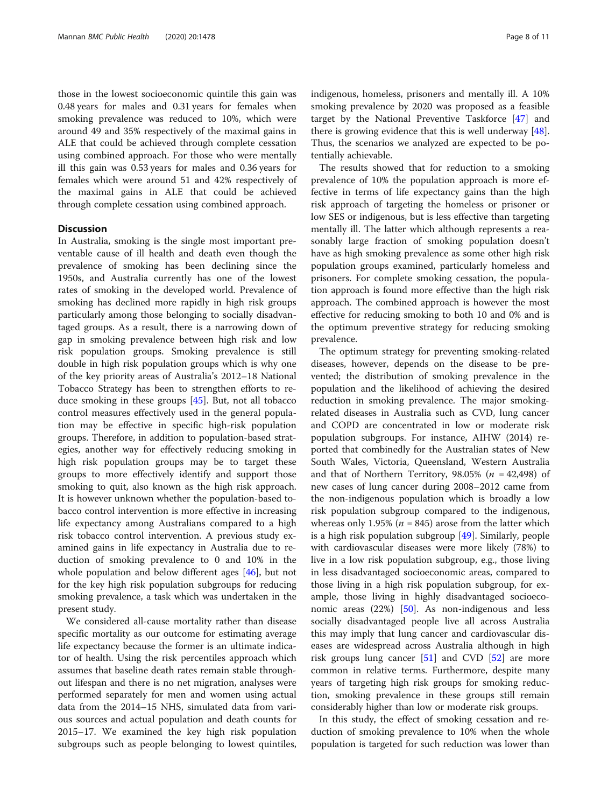those in the lowest socioeconomic quintile this gain was 0.48 years for males and 0.31 years for females when smoking prevalence was reduced to 10%, which were around 49 and 35% respectively of the maximal gains in ALE that could be achieved through complete cessation using combined approach. For those who were mentally ill this gain was 0.53 years for males and 0.36 years for females which were around 51 and 42% respectively of the maximal gains in ALE that could be achieved through complete cessation using combined approach.

# **Discussion**

In Australia, smoking is the single most important preventable cause of ill health and death even though the prevalence of smoking has been declining since the 1950s, and Australia currently has one of the lowest rates of smoking in the developed world. Prevalence of smoking has declined more rapidly in high risk groups particularly among those belonging to socially disadvantaged groups. As a result, there is a narrowing down of gap in smoking prevalence between high risk and low risk population groups. Smoking prevalence is still double in high risk population groups which is why one of the key priority areas of Australia's 2012–18 National Tobacco Strategy has been to strengthen efforts to reduce smoking in these groups [\[45](#page-10-0)]. But, not all tobacco control measures effectively used in the general population may be effective in specific high-risk population groups. Therefore, in addition to population-based strategies, another way for effectively reducing smoking in high risk population groups may be to target these groups to more effectively identify and support those smoking to quit, also known as the high risk approach. It is however unknown whether the population-based tobacco control intervention is more effective in increasing life expectancy among Australians compared to a high risk tobacco control intervention. A previous study examined gains in life expectancy in Australia due to reduction of smoking prevalence to 0 and 10% in the whole population and below different ages [[46\]](#page-10-0), but not for the key high risk population subgroups for reducing smoking prevalence, a task which was undertaken in the present study.

We considered all-cause mortality rather than disease specific mortality as our outcome for estimating average life expectancy because the former is an ultimate indicator of health. Using the risk percentiles approach which assumes that baseline death rates remain stable throughout lifespan and there is no net migration, analyses were performed separately for men and women using actual data from the 2014–15 NHS, simulated data from various sources and actual population and death counts for 2015–17. We examined the key high risk population subgroups such as people belonging to lowest quintiles, indigenous, homeless, prisoners and mentally ill. A 10% smoking prevalence by 2020 was proposed as a feasible target by the National Preventive Taskforce [[47\]](#page-10-0) and there is growing evidence that this is well underway [\[48](#page-10-0)]. Thus, the scenarios we analyzed are expected to be potentially achievable.

The results showed that for reduction to a smoking prevalence of 10% the population approach is more effective in terms of life expectancy gains than the high risk approach of targeting the homeless or prisoner or low SES or indigenous, but is less effective than targeting mentally ill. The latter which although represents a reasonably large fraction of smoking population doesn't have as high smoking prevalence as some other high risk population groups examined, particularly homeless and prisoners. For complete smoking cessation, the population approach is found more effective than the high risk approach. The combined approach is however the most effective for reducing smoking to both 10 and 0% and is the optimum preventive strategy for reducing smoking prevalence.

The optimum strategy for preventing smoking-related diseases, however, depends on the disease to be prevented; the distribution of smoking prevalence in the population and the likelihood of achieving the desired reduction in smoking prevalence. The major smokingrelated diseases in Australia such as CVD, lung cancer and COPD are concentrated in low or moderate risk population subgroups. For instance, AIHW (2014) reported that combinedly for the Australian states of New South Wales, Victoria, Queensland, Western Australia and that of Northern Territory, 98.05% ( $n = 42,498$ ) of new cases of lung cancer during 2008–2012 came from the non-indigenous population which is broadly a low risk population subgroup compared to the indigenous, whereas only 1.95% ( $n = 845$ ) arose from the latter which is a high risk population subgroup  $[49]$  $[49]$ . Similarly, people with cardiovascular diseases were more likely (78%) to live in a low risk population subgroup, e.g., those living in less disadvantaged socioeconomic areas, compared to those living in a high risk population subgroup, for example, those living in highly disadvantaged socioeconomic areas (22%) [\[50](#page-10-0)]. As non-indigenous and less socially disadvantaged people live all across Australia this may imply that lung cancer and cardiovascular diseases are widespread across Australia although in high risk groups lung cancer [\[51\]](#page-10-0) and CVD [[52\]](#page-10-0) are more common in relative terms. Furthermore, despite many years of targeting high risk groups for smoking reduction, smoking prevalence in these groups still remain considerably higher than low or moderate risk groups.

In this study, the effect of smoking cessation and reduction of smoking prevalence to 10% when the whole population is targeted for such reduction was lower than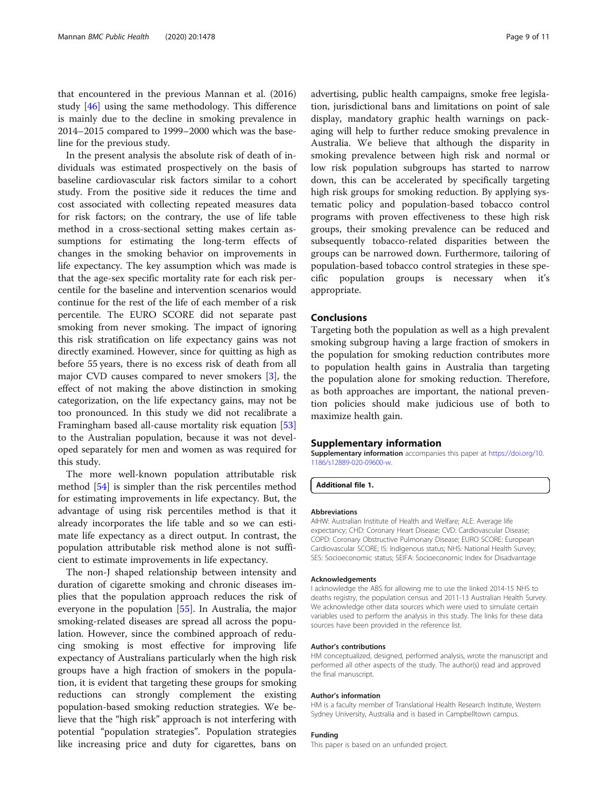<span id="page-8-0"></span>that encountered in the previous Mannan et al. (2016) study [[46](#page-10-0)] using the same methodology. This difference is mainly due to the decline in smoking prevalence in 2014–2015 compared to 1999–2000 which was the baseline for the previous study.

In the present analysis the absolute risk of death of individuals was estimated prospectively on the basis of baseline cardiovascular risk factors similar to a cohort study. From the positive side it reduces the time and cost associated with collecting repeated measures data for risk factors; on the contrary, the use of life table method in a cross-sectional setting makes certain assumptions for estimating the long-term effects of changes in the smoking behavior on improvements in life expectancy. The key assumption which was made is that the age-sex specific mortality rate for each risk percentile for the baseline and intervention scenarios would continue for the rest of the life of each member of a risk percentile. The EURO SCORE did not separate past smoking from never smoking. The impact of ignoring this risk stratification on life expectancy gains was not directly examined. However, since for quitting as high as before 55 years, there is no excess risk of death from all major CVD causes compared to never smokers [\[3](#page-9-0)], the effect of not making the above distinction in smoking categorization, on the life expectancy gains, may not be too pronounced. In this study we did not recalibrate a Framingham based all-cause mortality risk equation [[53](#page-10-0)] to the Australian population, because it was not developed separately for men and women as was required for this study.

The more well-known population attributable risk method [[54\]](#page-10-0) is simpler than the risk percentiles method for estimating improvements in life expectancy. But, the advantage of using risk percentiles method is that it already incorporates the life table and so we can estimate life expectancy as a direct output. In contrast, the population attributable risk method alone is not sufficient to estimate improvements in life expectancy.

The non-J shaped relationship between intensity and duration of cigarette smoking and chronic diseases implies that the population approach reduces the risk of everyone in the population [\[55\]](#page-10-0). In Australia, the major smoking-related diseases are spread all across the population. However, since the combined approach of reducing smoking is most effective for improving life expectancy of Australians particularly when the high risk groups have a high fraction of smokers in the population, it is evident that targeting these groups for smoking reductions can strongly complement the existing population-based smoking reduction strategies. We believe that the "high risk" approach is not interfering with potential "population strategies". Population strategies like increasing price and duty for cigarettes, bans on

advertising, public health campaigns, smoke free legislation, jurisdictional bans and limitations on point of sale display, mandatory graphic health warnings on packaging will help to further reduce smoking prevalence in Australia. We believe that although the disparity in smoking prevalence between high risk and normal or low risk population subgroups has started to narrow down, this can be accelerated by specifically targeting high risk groups for smoking reduction. By applying systematic policy and population-based tobacco control programs with proven effectiveness to these high risk groups, their smoking prevalence can be reduced and subsequently tobacco-related disparities between the groups can be narrowed down. Furthermore, tailoring of population-based tobacco control strategies in these specific population groups is necessary when it's appropriate.

# Conclusions

Targeting both the population as well as a high prevalent smoking subgroup having a large fraction of smokers in the population for smoking reduction contributes more to population health gains in Australia than targeting the population alone for smoking reduction. Therefore, as both approaches are important, the national prevention policies should make judicious use of both to maximize health gain.

### Supplementary information

Supplementary information accompanies this paper at [https://doi.org/10.](https://doi.org/10.1186/s12889-020-09600-w) [1186/s12889-020-09600-w](https://doi.org/10.1186/s12889-020-09600-w).

Additional file 1.

#### Abbreviations

AIHW: Australian Institute of Health and Welfare; ALE: Average life expectancy; CHD: Coronary Heart Disease; CVD: Cardiovascular Disease; COPD: Coronary Obstructive Pulmonary Disease; EURO SCORE: European Cardiovascular SCORE; IS: Indigenous status; NHS: National Health Survey; SES: Socioeconomic status; SEIFA: Socioeconomic Index for Disadvantage

#### Acknowledgements

I acknowledge the ABS for allowing me to use the linked 2014-15 NHS to deaths registry, the population census and 2011-13 Australian Health Survey. We acknowledge other data sources which were used to simulate certain variables used to perform the analysis in this study. The links for these data sources have been provided in the reference list.

#### Author's contributions

HM conceptualized, designed, performed analysis, wrote the manuscript and performed all other aspects of the study. The author(s) read and approved the final manuscript.

#### Author's information

HM is a faculty member of Translational Health Research Institute, Western Sydney University, Australia and is based in Campbelltown campus.

### Funding

This paper is based on an unfunded project.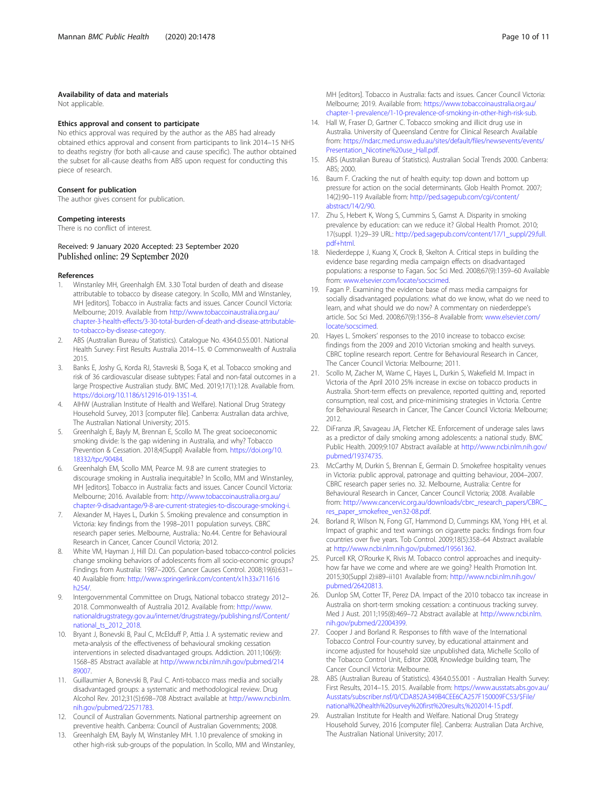#### <span id="page-9-0"></span>Availability of data and materials

Not applicable.

#### Ethics approval and consent to participate

No ethics approval was required by the author as the ABS had already obtained ethics approval and consent from participants to link 2014–15 NHS to deaths registry (for both all-cause and cause specific). The author obtained the subset for all-cause deaths from ABS upon request for conducting this piece of research.

#### Consent for publication

The author gives consent for publication.

#### Competing interests

There is no conflict of interest.

### Received: 9 January 2020 Accepted: 23 September 2020 Published online: 29 September 2020

#### References

- 1. Winstanley MH, Greenhalgh EM. 3.30 Total burden of death and disease attributable to tobacco by disease category. In Scollo, MM and Winstanley, MH [editors]. Tobacco in Australia: facts and issues. Cancer Council Victoria: Melbourne; 2019. Available from [http://www.tobaccoinaustralia.org.au/](http://www.tobaccoinaustralia.org.au/chapter-3-health-effects/3-30-total-burden-of-death-and-disease-attributable-to-tobacco-by-disease-category) [chapter-3-health-effects/3-30-total-burden-of-death-and-disease-attributable](http://www.tobaccoinaustralia.org.au/chapter-3-health-effects/3-30-total-burden-of-death-and-disease-attributable-to-tobacco-by-disease-category)[to-tobacco-by-disease-category](http://www.tobaccoinaustralia.org.au/chapter-3-health-effects/3-30-total-burden-of-death-and-disease-attributable-to-tobacco-by-disease-category).
- 2. ABS (Australian Bureau of Statistics). Catalogue No. 4364.0.55.001. National Health Survey: First Results Australia 2014–15. © Commonwealth of Australia 2015.
- 3. Banks E, Joshy G, Korda RJ, Stavreski B, Soga K, et al. Tobacco smoking and risk of 36 cardiovascular disease subtypes: Fatal and non-fatal outcomes in a large Prospective Australian study. BMC Med. 2019;17(1):128. Available from. <https://doi.org/10.1186/s12916-019-1351-4>.
- 4. AIHW (Australian Institute of Health and Welfare). National Drug Strategy Household Survey, 2013 [computer file]. Canberra: Australian data archive, The Australian National University; 2015.
- 5. Greenhalgh E, Bayly M, Brennan E, Scollo M. The great socioeconomic smoking divide: Is the gap widening in Australia, and why? Tobacco Prevention & Cessation. 2018;4(Suppl) Available from. [https://doi.org/10.](https://doi.org/10.18332/tpc/90484) [18332/tpc/90484.](https://doi.org/10.18332/tpc/90484)
- 6. Greenhalgh EM, Scollo MM, Pearce M. 9.8 are current strategies to discourage smoking in Australia inequitable? In Scollo, MM and Winstanley, MH [editors]. Tobacco in Australia: facts and issues. Cancer Council Victoria: Melbourne; 2016. Available from: [http://www.tobaccoinaustralia.org.au/](http://www.tobaccoinaustralia.org.au/chapter-9-disadvantage/9-8-are-current-strategies-to-discourage-smoking-i) [chapter-9-disadvantage/9-8-are-current-strategies-to-discourage-smoking-i](http://www.tobaccoinaustralia.org.au/chapter-9-disadvantage/9-8-are-current-strategies-to-discourage-smoking-i).
- 7. Alexander M, Hayes L, Durkin S. Smoking prevalence and consumption in Victoria: key findings from the 1998–2011 population surveys. CBRC research paper series. Melbourne, Australia.: No.44. Centre for Behavioural Research in Cancer, Cancer Council Victoria; 2012.
- 8. White VM, Hayman J, Hill DJ. Can population-based tobacco-control policies change smoking behaviors of adolescents from all socio-economic groups? Findings from Australia: 1987–2005. Cancer Causes Control. 2008;19(6):631– 40 Available from: [http://www.springerlink.com/content/x1h33x711616](http://www.springerlink.com/content/x1h33x711616h254/) [h254/](http://www.springerlink.com/content/x1h33x711616h254/).
- 9. Intergovernmental Committee on Drugs, National tobacco strategy 2012– 2018. Commonwealth of Australia 2012. Available from: [http://www.](http://www.nationaldrugstrategy.gov.au/internet/drugstrategy/publishing.nsf/Content/national_ts_2012_2018) [nationaldrugstrategy.gov.au/internet/drugstrategy/publishing.nsf/Content/](http://www.nationaldrugstrategy.gov.au/internet/drugstrategy/publishing.nsf/Content/national_ts_2012_2018) [national\\_ts\\_2012\\_2018](http://www.nationaldrugstrategy.gov.au/internet/drugstrategy/publishing.nsf/Content/national_ts_2012_2018).
- 10. Bryant J, Bonevski B, Paul C, McElduff P, Attia J. A systematic review and meta-analysis of the effectiveness of behavioural smoking cessation interventions in selected disadvantaged groups. Addiction. 2011;106(9): 1568–85 Abstract available at [http://www.ncbi.nlm.nih.gov/pubmed/214](http://www.ncbi.nlm.nih.gov/pubmed/21489007) [89007.](http://www.ncbi.nlm.nih.gov/pubmed/21489007)
- 11. Guillaumier A, Bonevski B, Paul C. Anti-tobacco mass media and socially disadvantaged groups: a systematic and methodological review. Drug Alcohol Rev. 2012;31(5):698–708 Abstract available at [http://www.ncbi.nlm.](http://www.ncbi.nlm.nih.gov/pubmed/22571783) [nih.gov/pubmed/22571783](http://www.ncbi.nlm.nih.gov/pubmed/22571783).
- 12. Council of Australian Governments. National partnership agreement on preventive health. Canberra: Council of Australian Governments; 2008.
- 13. Greenhalgh EM, Bayly M, Winstanley MH. 1.10 prevalence of smoking in other high-risk sub-groups of the population. In Scollo, MM and Winstanley,

MH [editors]. Tobacco in Australia: facts and issues. Cancer Council Victoria: Melbourne; 2019. Available from: [https://www.tobaccoinaustralia.org.au/](https://www.tobaccoinaustralia.org.au/chapter-1-prevalence/1-10-prevalence-of-smoking-in-other-high-risk-sub) [chapter-1-prevalence/1-10-prevalence-of-smoking-in-other-high-risk-sub.](https://www.tobaccoinaustralia.org.au/chapter-1-prevalence/1-10-prevalence-of-smoking-in-other-high-risk-sub)

- 14. Hall W, Fraser D, Gartner C. Tobacco smoking and illicit drug use in Australia. University of Queensland Centre for Clinical Research Available from: [https://ndarc.med.unsw.edu.au/sites/default/files/newsevents/events/](https://ndarc.med.unsw.edu.au/sites/default/files/newsevents/events/Presentation_Nicotine%20use_Hall.pdf) [Presentation\\_Nicotine%20use\\_Hall.pdf](https://ndarc.med.unsw.edu.au/sites/default/files/newsevents/events/Presentation_Nicotine%20use_Hall.pdf).
- 15. ABS (Australian Bureau of Statistics). Australian Social Trends 2000. Canberra: ABS; 2000.
- 16. Baum F. Cracking the nut of health equity: top down and bottom up pressure for action on the social determinants. Glob Health Promot. 2007; 14(2):90–119 Available from: [http://ped.sagepub.com/cgi/content/](http://ped.sagepub.com/cgi/content/abstract/14/2/90) [abstract/14/2/90](http://ped.sagepub.com/cgi/content/abstract/14/2/90).
- 17. Zhu S, Hebert K, Wong S, Cummins S, Gamst A. Disparity in smoking prevalence by education: can we reduce it? Global Health Promot. 2010; 17(suppl. 1):29–39 URL: [http://ped.sagepub.com/content/17/1\\_suppl/29.full.](http://ped.sagepub.com/content/17/1_suppl/29.full.pdf+html) [pdf+html.](http://ped.sagepub.com/content/17/1_suppl/29.full.pdf+html)
- 18. Niederdeppe J, Kuang X, Crock B, Skelton A. Critical steps in building the evidence base regarding media campaign effects on disadvantaged populations: a response to Fagan. Soc Sci Med. 2008;67(9):1359–60 Available from: [www.elsevier.com/locate/socscimed.](http://www.tobaccoinaustralia.org.au/www.elsevier.com/locate/socscimed)
- 19. Fagan P. Examining the evidence base of mass media campaigns for socially disadvantaged populations: what do we know, what do we need to learn, and what should we do now? A commentary on niederdeppe's article. Soc Sci Med. 2008;67(9):1356–8 Available from: [www.elsevier.com/](http://www.tobaccoinaustralia.org.au/www.elsevier.com/locate/socscimed) [locate/socscimed](http://www.tobaccoinaustralia.org.au/www.elsevier.com/locate/socscimed).
- 20. Hayes L. Smokers' responses to the 2010 increase to tobacco excise: findings from the 2009 and 2010 Victorian smoking and health surveys. CBRC topline research report. Centre for Behavioural Research in Cancer, The Cancer Council Victoria: Melbourne; 2011.
- 21. Scollo M, Zacher M, Warne C, Hayes L, Durkin S, Wakefield M. Impact in Victoria of the April 2010 25% increase in excise on tobacco products in Australia. Short-term effects on prevalence, reported quitting and, reported consumption, real cost, and price-minimising strategies in Victoria. Centre for Behavioural Research in Cancer, The Cancer Council Victoria: Melbourne; 2012.
- 22. DiFranza JR, Savageau JA, Fletcher KE. Enforcement of underage sales laws as a predictor of daily smoking among adolescents: a national study. BMC Public Health. 2009;9:107 Abstract available at [http://www.ncbi.nlm.nih.gov/](http://www.ncbi.nlm.nih.gov/pubmed/19374735) [pubmed/19374735.](http://www.ncbi.nlm.nih.gov/pubmed/19374735)
- 23. McCarthy M, Durkin S, Brennan E, Germain D. Smokefree hospitality venues in Victoria: public approval, patronage and quitting behaviour, 2004–2007. CBRC research paper series no. 32. Melbourne, Australia: Centre for Behavioural Research in Cancer, Cancer Council Victoria; 2008. Available from: [http://www.cancervic.org.au/downloads/cbrc\\_research\\_papers/CBRC\\_](http://www.cancervic.org.au/downloads/cbrc_research_papers/CBRC_res_paper_smokefree_ven32-08.pdf) [res\\_paper\\_smokefree\\_ven32-08.pdf](http://www.cancervic.org.au/downloads/cbrc_research_papers/CBRC_res_paper_smokefree_ven32-08.pdf).
- 24. Borland R, Wilson N, Fong GT, Hammond D, Cummings KM, Yong HH, et al. Impact of graphic and text warnings on cigarette packs: findings from four countries over five years. Tob Control. 2009;18(5):358–64 Abstract available at <http://www.ncbi.nlm.nih.gov/pubmed/19561362>.
- 25. Purcell KR, O'Rourke K, Rivis M. Tobacco control approaches and inequityhow far have we come and where are we going? Health Promotion Int. 2015;30(Suppl 2):ii89–ii101 Available from: [http://www.ncbi.nlm.nih.gov/](http://www.ncbi.nlm.nih.gov/pubmed/26420813) [pubmed/26420813.](http://www.ncbi.nlm.nih.gov/pubmed/26420813)
- 26. Dunlop SM, Cotter TF, Perez DA. Impact of the 2010 tobacco tax increase in Australia on short-term smoking cessation: a continuous tracking survey. Med J Aust. 2011;195(8):469–72 Abstract available at [http://www.ncbi.nlm.](http://www.ncbi.nlm.nih.gov/pubmed/22004399) [nih.gov/pubmed/22004399](http://www.ncbi.nlm.nih.gov/pubmed/22004399).
- 27. Cooper J and Borland R. Responses to fifth wave of the International Tobacco Control Four-country survey, by educational attainment and income adjusted for household size unpublished data, Michelle Scollo of the Tobacco Control Unit, Editor 2008, Knowledge building team, The Cancer Council Victoria: Melbourne.
- 28. ABS (Australian Bureau of Statistics). 4364.0.55.001 Australian Health Survey: First Results, 2014–15. 2015. Available from: https://www.ausstats.abs.gov.au/ Ausstats/subscriber.nsf/0/CDA852A349B4CEE6CA257F150009FC53/\$File/ national%20health%20survey%20first%20results,%202014-15.pdf.
- 29. Australian Institute for Health and Welfare. National Drug Strategy Household Survey, 2016 [computer file]. Canberra: Australian Data Archive, The Australian National University; 2017.